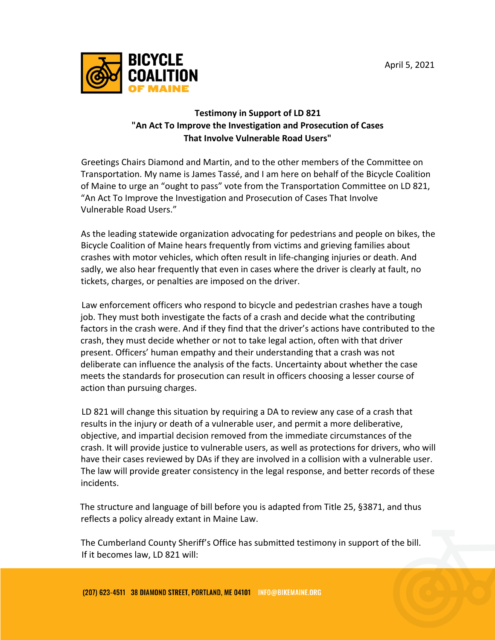

## **Testimony in Support of LD 821 "An Act To Improve the Investigation and Prosecution of Cases That Involve Vulnerable Road Users"**

Greetings Chairs Diamond and Martin, and to the other members of the Committee on Transportation. My name is James Tassé, and I am here on behalf of the Bicycle Coalition of Maine to urge an "ought to pass" vote from the Transportation Committee on LD 821, "An Act To Improve the Investigation and Prosecution of Cases That Involve Vulnerable Road Users."

As the leading statewide organization advocating for pedestrians and people on bikes, the Bicycle Coalition of Maine hears frequently from victims and grieving families about crashes with motor vehicles, which often result in life-changing injuries or death. And sadly, we also hear frequently that even in cases where the driver is clearly at fault, no tickets, charges, or penalties are imposed on the driver.

Law enforcement officers who respond to bicycle and pedestrian crashes have a tough job. They must both investigate the facts of a crash and decide what the contributing factors in the crash were. And if they find that the driver's actions have contributed to the crash, they must decide whether or not to take legal action, often with that driver present. Officers' human empathy and their understanding that a crash was not deliberate can influence the analysis of the facts. Uncertainty about whether the case meets the standards for prosecution can result in officers choosing a lesser course of action than pursuing charges.

LD 821 will change this situation by requiring a DA to review any case of a crash that results in the injury or death of a vulnerable user, and permit a more deliberative, objective, and impartial decision removed from the immediate circumstances of the crash. It will provide justice to vulnerable users, as well as protections for drivers, who will have their cases reviewed by DAs if they are involved in a collision with a vulnerable user. The law will provide greater consistency in the legal response, and better records of these incidents.

The structure and language of bill before you is adapted from Title 25, §3871, and thus reflects a policy already extant in Maine Law.

The Cumberland County Sheriff's Office has submitted testimony in support of the bill. If it becomes law, LD 821 will: